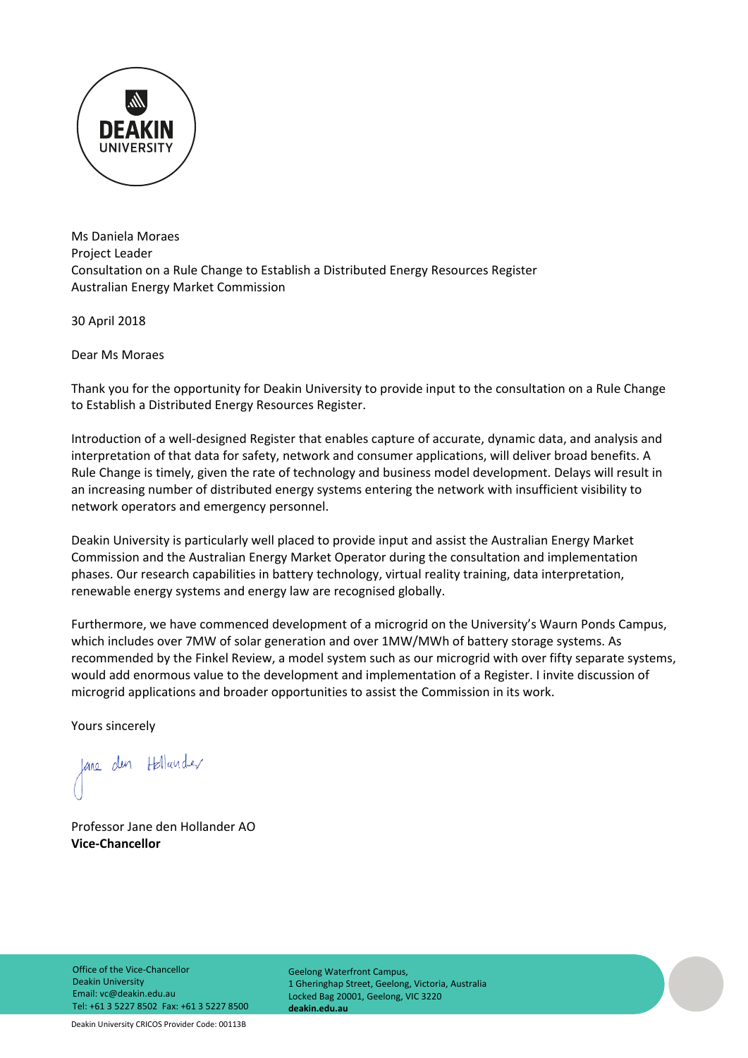

Ms Daniela Moraes Project Leader Consultation on a Rule Change to Establish a Distributed Energy Resources Register Australian Energy Market Commission

30 April 2018

Dear Ms Moraes

Thank you for the opportunity for Deakin University to provide input to the consultation on a Rule Change to Establish a Distributed Energy Resources Register.

Introduction of a well‐designed Register that enables capture of accurate, dynamic data, and analysis and interpretation of that data for safety, network and consumer applications, will deliver broad benefits. A Rule Change is timely, given the rate of technology and business model development. Delays will result in an increasing number of distributed energy systems entering the network with insufficient visibility to network operators and emergency personnel.

Deakin University is particularly well placed to provide input and assist the Australian Energy Market Commission and the Australian Energy Market Operator during the consultation and implementation phases. Our research capabilities in battery technology, virtual reality training, data interpretation, renewable energy systems and energy law are recognised globally.

Furthermore, we have commenced development of a microgrid on the University's Waurn Ponds Campus, which includes over 7MW of solar generation and over 1MW/MWh of battery storage systems. As recommended by the Finkel Review, a model system such as our microgrid with over fifty separate systems, would add enormous value to the development and implementation of a Register. I invite discussion of microgrid applications and broader opportunities to assist the Commission in its work.

Yours sincerely

Jane den Hollander

Professor Jane den Hollander AO **Vice‐Chancellor**

Geelong Waterfront Campus, 1 Gheringhap Street, Geelong, Victoria, Australia Locked Bag 20001, Geelong, VIC 3220 **deakin.edu.au**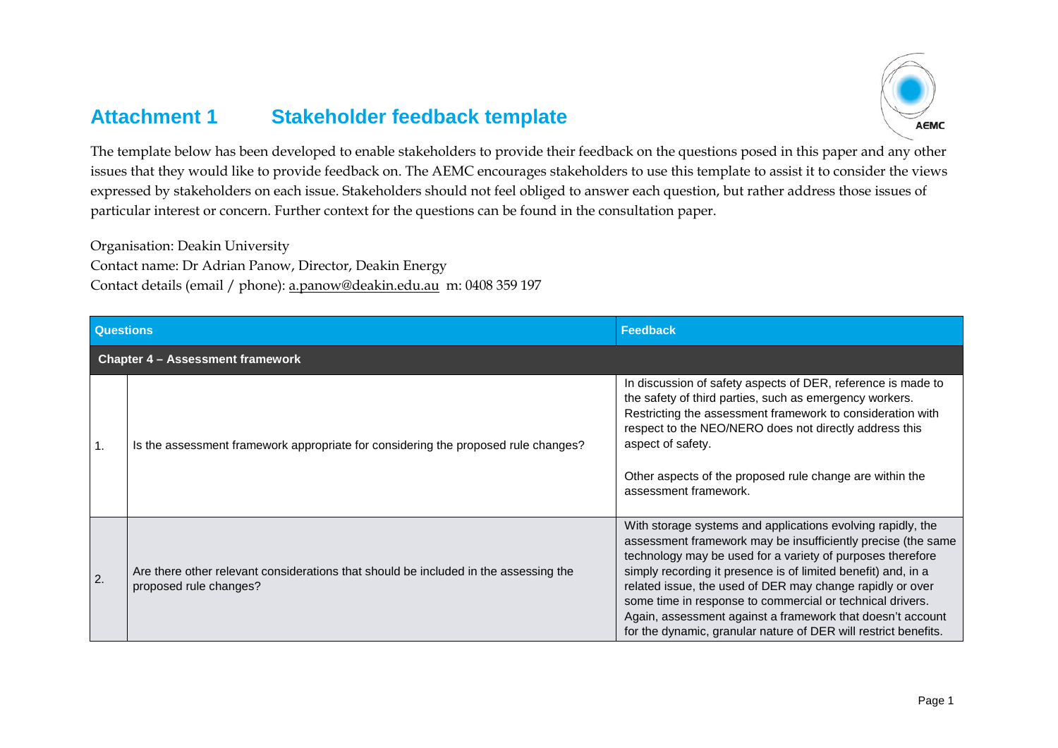## **Attachment 1 Stakeholder feedback template**



The template below has been developed to enable stakeholders to provide their feedback on the questions posed in this paper and any other issues that they would like to provide feedback on. The AEMC encourages stakeholders to use this template to assist it to consider the views expressed by stakeholders on each issue. Stakeholders should not feel obliged to answer each question, but rather address those issues of particular interest or concern. Further context for the questions can be found in the consultation paper.

Organisation: Deakin University

Contact name: Dr Adrian Panow, Director, Deakin Energy

Contact details (email / phone): [a.panow@deakin.edu.au](mailto:a.panow@deakin.edu.au) m: 0408 359 197

| <b>Questions</b>                 |                                                                                                                | Feedback                                                                                                                                                                                                                                                                                                                                                                                                                                                                                                              |
|----------------------------------|----------------------------------------------------------------------------------------------------------------|-----------------------------------------------------------------------------------------------------------------------------------------------------------------------------------------------------------------------------------------------------------------------------------------------------------------------------------------------------------------------------------------------------------------------------------------------------------------------------------------------------------------------|
| Chapter 4 - Assessment framework |                                                                                                                |                                                                                                                                                                                                                                                                                                                                                                                                                                                                                                                       |
| 1.                               | Is the assessment framework appropriate for considering the proposed rule changes?                             | In discussion of safety aspects of DER, reference is made to<br>the safety of third parties, such as emergency workers.<br>Restricting the assessment framework to consideration with<br>respect to the NEO/NERO does not directly address this<br>aspect of safety.<br>Other aspects of the proposed rule change are within the<br>assessment framework.                                                                                                                                                             |
| $\overline{2}$ .                 | Are there other relevant considerations that should be included in the assessing the<br>proposed rule changes? | With storage systems and applications evolving rapidly, the<br>assessment framework may be insufficiently precise (the same<br>technology may be used for a variety of purposes therefore<br>simply recording it presence is of limited benefit) and, in a<br>related issue, the used of DER may change rapidly or over<br>some time in response to commercial or technical drivers.<br>Again, assessment against a framework that doesn't account<br>for the dynamic, granular nature of DER will restrict benefits. |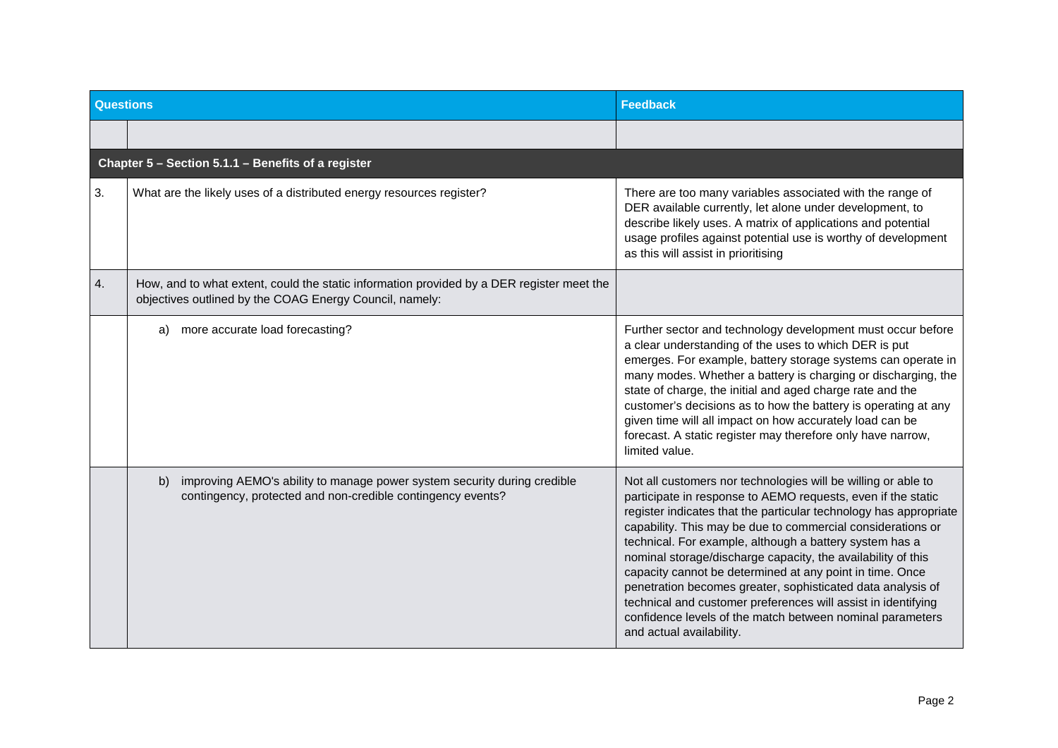| Questions |                                                                                                                                                      | <b>Feedback</b>                                                                                                                                                                                                                                                                                                                                                                                                                                                                                                                                                                                                                                                                   |
|-----------|------------------------------------------------------------------------------------------------------------------------------------------------------|-----------------------------------------------------------------------------------------------------------------------------------------------------------------------------------------------------------------------------------------------------------------------------------------------------------------------------------------------------------------------------------------------------------------------------------------------------------------------------------------------------------------------------------------------------------------------------------------------------------------------------------------------------------------------------------|
|           |                                                                                                                                                      |                                                                                                                                                                                                                                                                                                                                                                                                                                                                                                                                                                                                                                                                                   |
|           | Chapter 5 - Section 5.1.1 - Benefits of a register                                                                                                   |                                                                                                                                                                                                                                                                                                                                                                                                                                                                                                                                                                                                                                                                                   |
| 3.        | What are the likely uses of a distributed energy resources register?                                                                                 | There are too many variables associated with the range of<br>DER available currently, let alone under development, to<br>describe likely uses. A matrix of applications and potential<br>usage profiles against potential use is worthy of development<br>as this will assist in prioritising                                                                                                                                                                                                                                                                                                                                                                                     |
| 4.        | How, and to what extent, could the static information provided by a DER register meet the<br>objectives outlined by the COAG Energy Council, namely: |                                                                                                                                                                                                                                                                                                                                                                                                                                                                                                                                                                                                                                                                                   |
|           | more accurate load forecasting?<br>a)                                                                                                                | Further sector and technology development must occur before<br>a clear understanding of the uses to which DER is put<br>emerges. For example, battery storage systems can operate in<br>many modes. Whether a battery is charging or discharging, the<br>state of charge, the initial and aged charge rate and the<br>customer's decisions as to how the battery is operating at any<br>given time will all impact on how accurately load can be<br>forecast. A static register may therefore only have narrow,<br>limited value.                                                                                                                                                 |
|           | improving AEMO's ability to manage power system security during credible<br>b)<br>contingency, protected and non-credible contingency events?        | Not all customers nor technologies will be willing or able to<br>participate in response to AEMO requests, even if the static<br>register indicates that the particular technology has appropriate<br>capability. This may be due to commercial considerations or<br>technical. For example, although a battery system has a<br>nominal storage/discharge capacity, the availability of this<br>capacity cannot be determined at any point in time. Once<br>penetration becomes greater, sophisticated data analysis of<br>technical and customer preferences will assist in identifying<br>confidence levels of the match between nominal parameters<br>and actual availability. |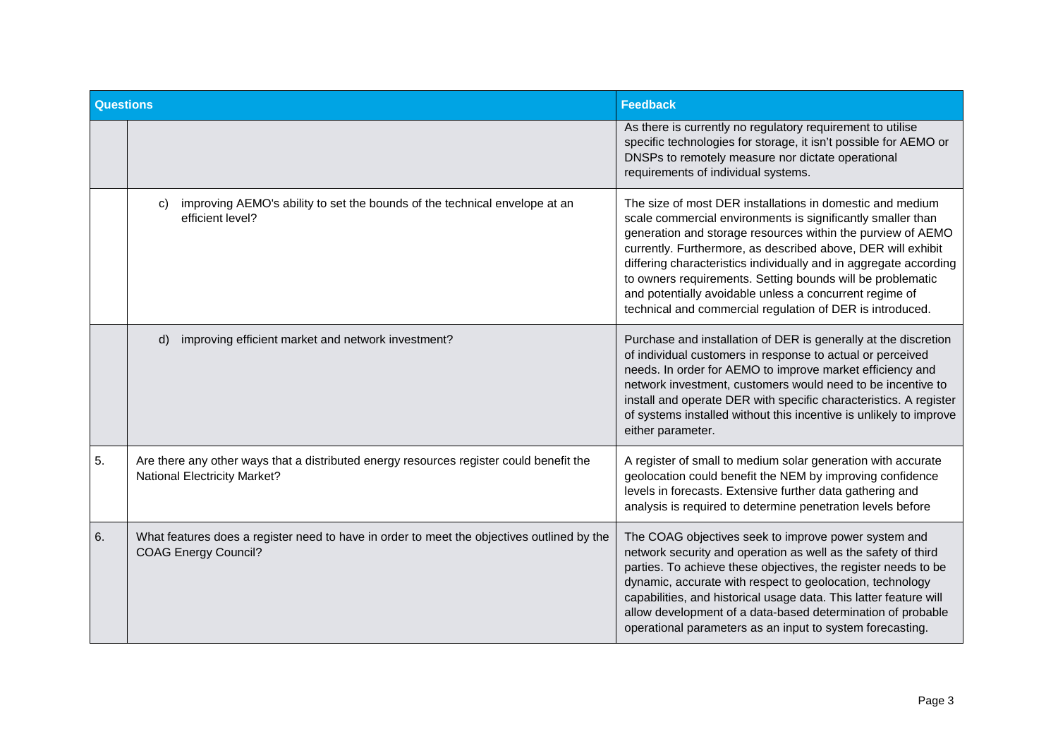| <b>Questions</b> |                                                                                                                                | <b>Feedback</b>                                                                                                                                                                                                                                                                                                                                                                                                                                                                                                    |
|------------------|--------------------------------------------------------------------------------------------------------------------------------|--------------------------------------------------------------------------------------------------------------------------------------------------------------------------------------------------------------------------------------------------------------------------------------------------------------------------------------------------------------------------------------------------------------------------------------------------------------------------------------------------------------------|
|                  |                                                                                                                                | As there is currently no regulatory requirement to utilise<br>specific technologies for storage, it isn't possible for AEMO or<br>DNSPs to remotely measure nor dictate operational<br>requirements of individual systems.                                                                                                                                                                                                                                                                                         |
|                  | improving AEMO's ability to set the bounds of the technical envelope at an<br>C)<br>efficient level?                           | The size of most DER installations in domestic and medium<br>scale commercial environments is significantly smaller than<br>generation and storage resources within the purview of AEMO<br>currently. Furthermore, as described above, DER will exhibit<br>differing characteristics individually and in aggregate according<br>to owners requirements. Setting bounds will be problematic<br>and potentially avoidable unless a concurrent regime of<br>technical and commercial regulation of DER is introduced. |
|                  | improving efficient market and network investment?<br>d)                                                                       | Purchase and installation of DER is generally at the discretion<br>of individual customers in response to actual or perceived<br>needs. In order for AEMO to improve market efficiency and<br>network investment, customers would need to be incentive to<br>install and operate DER with specific characteristics. A register<br>of systems installed without this incentive is unlikely to improve<br>either parameter.                                                                                          |
| 5.               | Are there any other ways that a distributed energy resources register could benefit the<br><b>National Electricity Market?</b> | A register of small to medium solar generation with accurate<br>geolocation could benefit the NEM by improving confidence<br>levels in forecasts. Extensive further data gathering and<br>analysis is required to determine penetration levels before                                                                                                                                                                                                                                                              |
| 6.               | What features does a register need to have in order to meet the objectives outlined by the<br><b>COAG Energy Council?</b>      | The COAG objectives seek to improve power system and<br>network security and operation as well as the safety of third<br>parties. To achieve these objectives, the register needs to be<br>dynamic, accurate with respect to geolocation, technology<br>capabilities, and historical usage data. This latter feature will<br>allow development of a data-based determination of probable<br>operational parameters as an input to system forecasting.                                                              |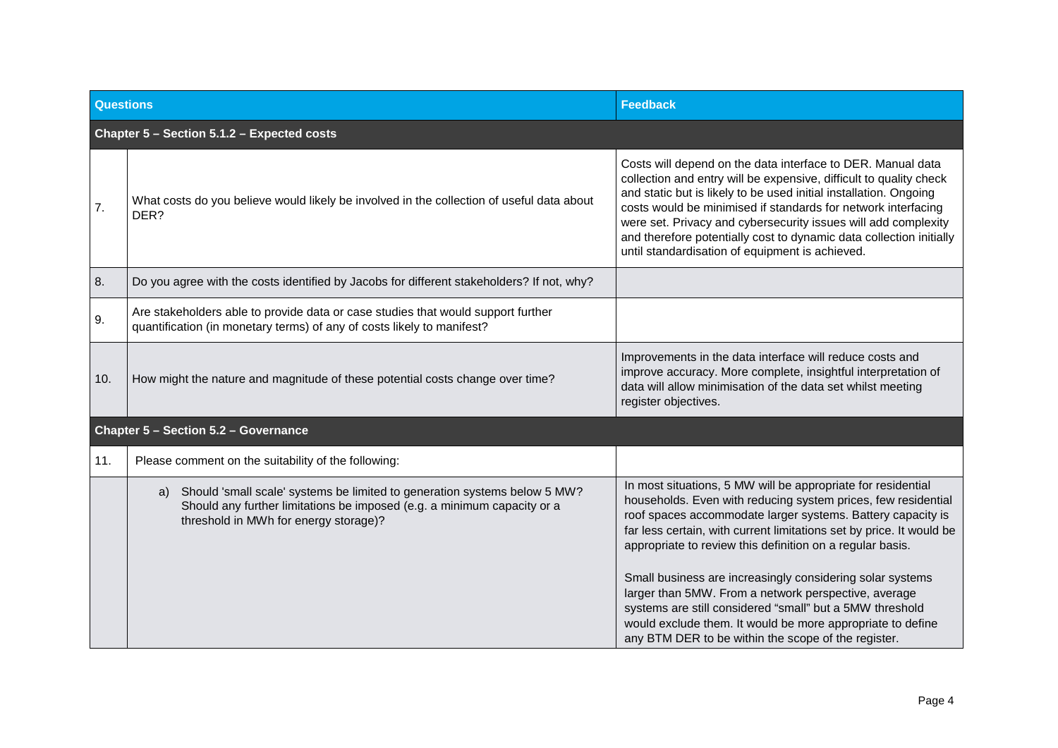| <b>Questions</b> |                                                                                                                                                                                                     | <b>Feedback</b>                                                                                                                                                                                                                                                                                                                                                                                                                                                                                                                                                                                                                         |
|------------------|-----------------------------------------------------------------------------------------------------------------------------------------------------------------------------------------------------|-----------------------------------------------------------------------------------------------------------------------------------------------------------------------------------------------------------------------------------------------------------------------------------------------------------------------------------------------------------------------------------------------------------------------------------------------------------------------------------------------------------------------------------------------------------------------------------------------------------------------------------------|
|                  | Chapter 5 - Section 5.1.2 - Expected costs                                                                                                                                                          |                                                                                                                                                                                                                                                                                                                                                                                                                                                                                                                                                                                                                                         |
| 7.               | What costs do you believe would likely be involved in the collection of useful data about<br>DER?                                                                                                   | Costs will depend on the data interface to DER. Manual data<br>collection and entry will be expensive, difficult to quality check<br>and static but is likely to be used initial installation. Ongoing<br>costs would be minimised if standards for network interfacing<br>were set. Privacy and cybersecurity issues will add complexity<br>and therefore potentially cost to dynamic data collection initially<br>until standardisation of equipment is achieved.                                                                                                                                                                     |
| 8.               | Do you agree with the costs identified by Jacobs for different stakeholders? If not, why?                                                                                                           |                                                                                                                                                                                                                                                                                                                                                                                                                                                                                                                                                                                                                                         |
| 9.               | Are stakeholders able to provide data or case studies that would support further<br>quantification (in monetary terms) of any of costs likely to manifest?                                          |                                                                                                                                                                                                                                                                                                                                                                                                                                                                                                                                                                                                                                         |
| 10.              | How might the nature and magnitude of these potential costs change over time?                                                                                                                       | Improvements in the data interface will reduce costs and<br>improve accuracy. More complete, insightful interpretation of<br>data will allow minimisation of the data set whilst meeting<br>register objectives.                                                                                                                                                                                                                                                                                                                                                                                                                        |
|                  | Chapter 5 - Section 5.2 - Governance                                                                                                                                                                |                                                                                                                                                                                                                                                                                                                                                                                                                                                                                                                                                                                                                                         |
| 11.              | Please comment on the suitability of the following:                                                                                                                                                 |                                                                                                                                                                                                                                                                                                                                                                                                                                                                                                                                                                                                                                         |
|                  | Should 'small scale' systems be limited to generation systems below 5 MW?<br>a)<br>Should any further limitations be imposed (e.g. a minimum capacity or a<br>threshold in MWh for energy storage)? | In most situations, 5 MW will be appropriate for residential<br>households. Even with reducing system prices, few residential<br>roof spaces accommodate larger systems. Battery capacity is<br>far less certain, with current limitations set by price. It would be<br>appropriate to review this definition on a regular basis.<br>Small business are increasingly considering solar systems<br>larger than 5MW. From a network perspective, average<br>systems are still considered "small" but a 5MW threshold<br>would exclude them. It would be more appropriate to define<br>any BTM DER to be within the scope of the register. |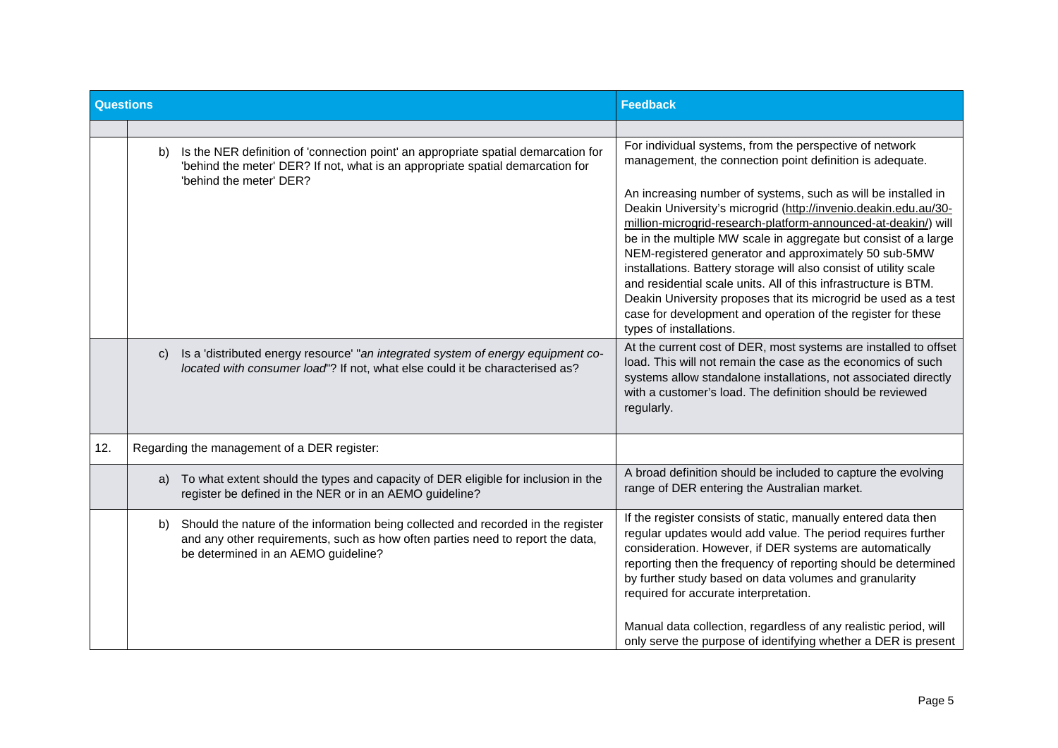| <b>Questions</b> |                                                                                                                                                                                                                  | <b>Feedback</b>                                                                                                                                                                                                                                                                                                                                                                                                                                                                                                                                                                                                                      |
|------------------|------------------------------------------------------------------------------------------------------------------------------------------------------------------------------------------------------------------|--------------------------------------------------------------------------------------------------------------------------------------------------------------------------------------------------------------------------------------------------------------------------------------------------------------------------------------------------------------------------------------------------------------------------------------------------------------------------------------------------------------------------------------------------------------------------------------------------------------------------------------|
|                  |                                                                                                                                                                                                                  |                                                                                                                                                                                                                                                                                                                                                                                                                                                                                                                                                                                                                                      |
|                  | Is the NER definition of 'connection point' an appropriate spatial demarcation for<br>b)<br>'behind the meter' DER? If not, what is an appropriate spatial demarcation for<br>'behind the meter' DER?            | For individual systems, from the perspective of network<br>management, the connection point definition is adequate.                                                                                                                                                                                                                                                                                                                                                                                                                                                                                                                  |
|                  |                                                                                                                                                                                                                  | An increasing number of systems, such as will be installed in<br>Deakin University's microgrid (http://invenio.deakin.edu.au/30-<br>million-microgrid-research-platform-announced-at-deakin/) will<br>be in the multiple MW scale in aggregate but consist of a large<br>NEM-registered generator and approximately 50 sub-5MW<br>installations. Battery storage will also consist of utility scale<br>and residential scale units. All of this infrastructure is BTM.<br>Deakin University proposes that its microgrid be used as a test<br>case for development and operation of the register for these<br>types of installations. |
|                  | Is a 'distributed energy resource' "an integrated system of energy equipment co-<br>C)<br>located with consumer load"? If not, what else could it be characterised as?                                           | At the current cost of DER, most systems are installed to offset<br>load. This will not remain the case as the economics of such<br>systems allow standalone installations, not associated directly<br>with a customer's load. The definition should be reviewed<br>regularly.                                                                                                                                                                                                                                                                                                                                                       |
| 12.              | Regarding the management of a DER register:                                                                                                                                                                      |                                                                                                                                                                                                                                                                                                                                                                                                                                                                                                                                                                                                                                      |
|                  | To what extent should the types and capacity of DER eligible for inclusion in the<br>a)<br>register be defined in the NER or in an AEMO guideline?                                                               | A broad definition should be included to capture the evolving<br>range of DER entering the Australian market.                                                                                                                                                                                                                                                                                                                                                                                                                                                                                                                        |
|                  | Should the nature of the information being collected and recorded in the register<br>b)<br>and any other requirements, such as how often parties need to report the data,<br>be determined in an AEMO guideline? | If the register consists of static, manually entered data then<br>regular updates would add value. The period requires further<br>consideration. However, if DER systems are automatically<br>reporting then the frequency of reporting should be determined<br>by further study based on data volumes and granularity<br>required for accurate interpretation.<br>Manual data collection, regardless of any realistic period, will<br>only serve the purpose of identifying whether a DER is present                                                                                                                                |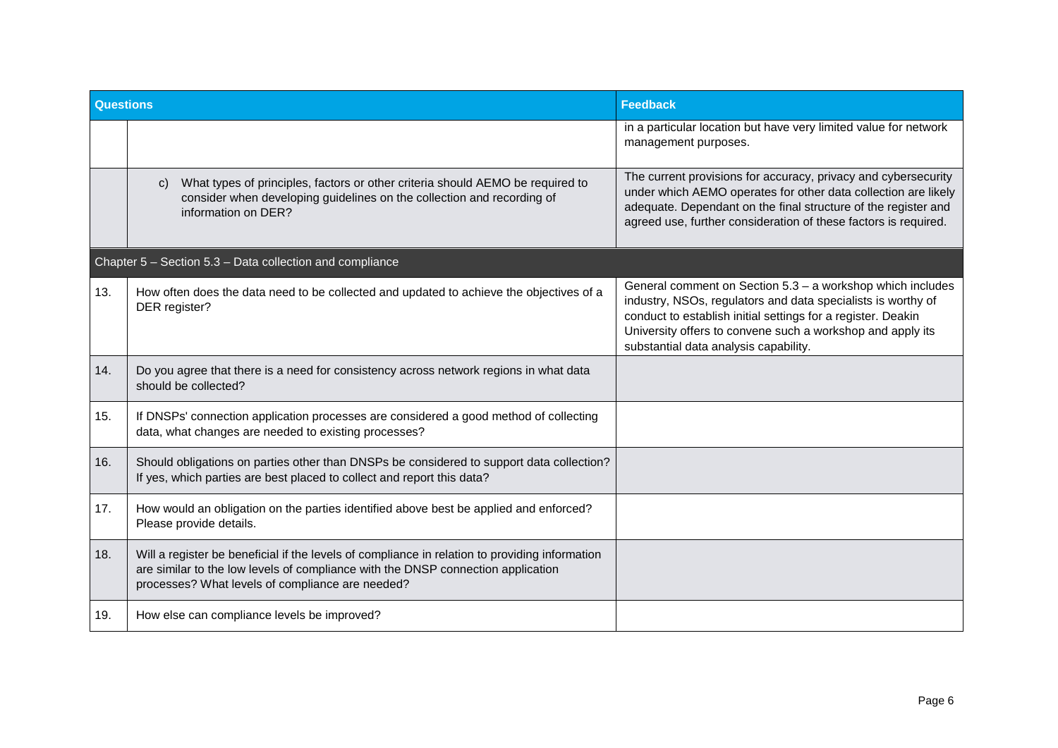| <b>Questions</b> |                                                                                                                                                                                                                                        | <b>Feedback</b>                                                                                                                                                                                                                                                                                   |
|------------------|----------------------------------------------------------------------------------------------------------------------------------------------------------------------------------------------------------------------------------------|---------------------------------------------------------------------------------------------------------------------------------------------------------------------------------------------------------------------------------------------------------------------------------------------------|
|                  |                                                                                                                                                                                                                                        | in a particular location but have very limited value for network<br>management purposes.                                                                                                                                                                                                          |
|                  | What types of principles, factors or other criteria should AEMO be required to<br>$\mathbf{C}$<br>consider when developing guidelines on the collection and recording of<br>information on DER?                                        | The current provisions for accuracy, privacy and cybersecurity<br>under which AEMO operates for other data collection are likely<br>adequate. Dependant on the final structure of the register and<br>agreed use, further consideration of these factors is required.                             |
|                  | Chapter 5 - Section 5.3 - Data collection and compliance                                                                                                                                                                               |                                                                                                                                                                                                                                                                                                   |
| 13.              | How often does the data need to be collected and updated to achieve the objectives of a<br>DER register?                                                                                                                               | General comment on Section 5.3 - a workshop which includes<br>industry, NSOs, regulators and data specialists is worthy of<br>conduct to establish initial settings for a register. Deakin<br>University offers to convene such a workshop and apply its<br>substantial data analysis capability. |
| 14.              | Do you agree that there is a need for consistency across network regions in what data<br>should be collected?                                                                                                                          |                                                                                                                                                                                                                                                                                                   |
| 15.              | If DNSPs' connection application processes are considered a good method of collecting<br>data, what changes are needed to existing processes?                                                                                          |                                                                                                                                                                                                                                                                                                   |
| 16.              | Should obligations on parties other than DNSPs be considered to support data collection?<br>If yes, which parties are best placed to collect and report this data?                                                                     |                                                                                                                                                                                                                                                                                                   |
| 17.              | How would an obligation on the parties identified above best be applied and enforced?<br>Please provide details.                                                                                                                       |                                                                                                                                                                                                                                                                                                   |
| 18.              | Will a register be beneficial if the levels of compliance in relation to providing information<br>are similar to the low levels of compliance with the DNSP connection application<br>processes? What levels of compliance are needed? |                                                                                                                                                                                                                                                                                                   |
| 19.              | How else can compliance levels be improved?                                                                                                                                                                                            |                                                                                                                                                                                                                                                                                                   |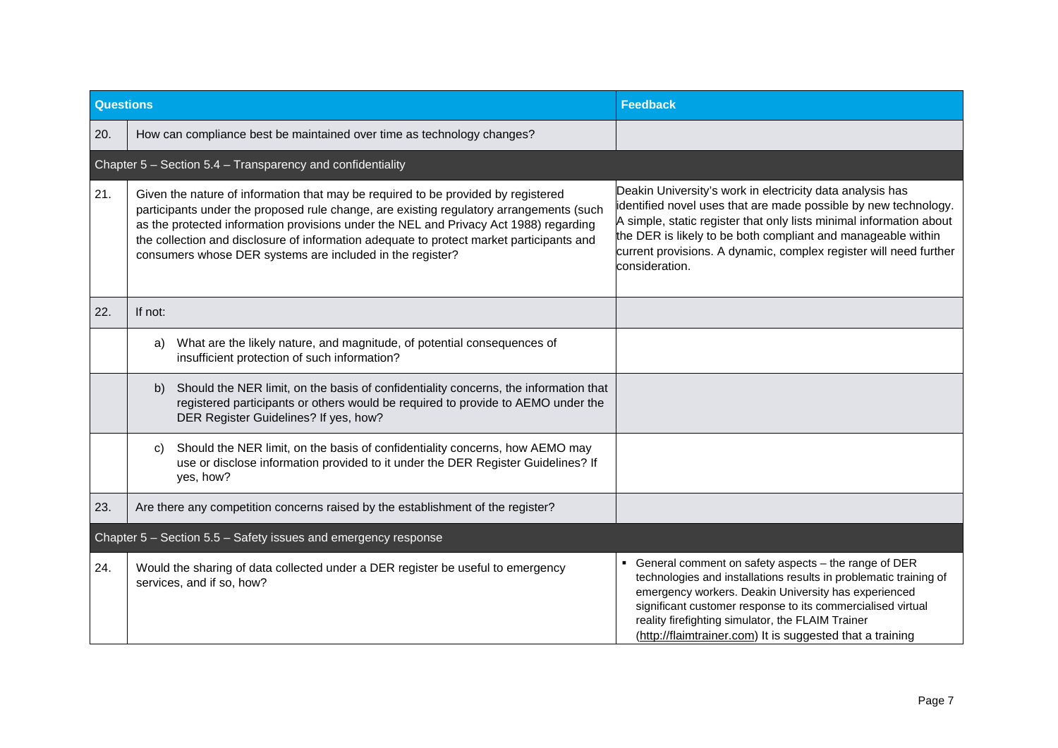| <b>Questions</b>                                               |                                                                                                                                                                                                                                                                                                                                                                                                                                | <b>Feedback</b>                                                                                                                                                                                                                                                                                                                                                    |
|----------------------------------------------------------------|--------------------------------------------------------------------------------------------------------------------------------------------------------------------------------------------------------------------------------------------------------------------------------------------------------------------------------------------------------------------------------------------------------------------------------|--------------------------------------------------------------------------------------------------------------------------------------------------------------------------------------------------------------------------------------------------------------------------------------------------------------------------------------------------------------------|
| 20.                                                            | How can compliance best be maintained over time as technology changes?                                                                                                                                                                                                                                                                                                                                                         |                                                                                                                                                                                                                                                                                                                                                                    |
|                                                                | Chapter 5 - Section 5.4 - Transparency and confidentiality                                                                                                                                                                                                                                                                                                                                                                     |                                                                                                                                                                                                                                                                                                                                                                    |
| 21.                                                            | Given the nature of information that may be required to be provided by registered<br>participants under the proposed rule change, are existing regulatory arrangements (such<br>as the protected information provisions under the NEL and Privacy Act 1988) regarding<br>the collection and disclosure of information adequate to protect market participants and<br>consumers whose DER systems are included in the register? | Deakin University's work in electricity data analysis has<br>identified novel uses that are made possible by new technology.<br>A simple, static register that only lists minimal information about<br>the DER is likely to be both compliant and manageable within<br>current provisions. A dynamic, complex register will need further<br>consideration.         |
| 22.                                                            | If not:                                                                                                                                                                                                                                                                                                                                                                                                                        |                                                                                                                                                                                                                                                                                                                                                                    |
|                                                                | What are the likely nature, and magnitude, of potential consequences of<br>a)<br>insufficient protection of such information?                                                                                                                                                                                                                                                                                                  |                                                                                                                                                                                                                                                                                                                                                                    |
|                                                                | Should the NER limit, on the basis of confidentiality concerns, the information that<br>b)<br>registered participants or others would be required to provide to AEMO under the<br>DER Register Guidelines? If yes, how?                                                                                                                                                                                                        |                                                                                                                                                                                                                                                                                                                                                                    |
|                                                                | Should the NER limit, on the basis of confidentiality concerns, how AEMO may<br>C)<br>use or disclose information provided to it under the DER Register Guidelines? If<br>yes, how?                                                                                                                                                                                                                                            |                                                                                                                                                                                                                                                                                                                                                                    |
| 23.                                                            | Are there any competition concerns raised by the establishment of the register?                                                                                                                                                                                                                                                                                                                                                |                                                                                                                                                                                                                                                                                                                                                                    |
| Chapter 5 - Section 5.5 - Safety issues and emergency response |                                                                                                                                                                                                                                                                                                                                                                                                                                |                                                                                                                                                                                                                                                                                                                                                                    |
| 24.                                                            | Would the sharing of data collected under a DER register be useful to emergency<br>services, and if so, how?                                                                                                                                                                                                                                                                                                                   | General comment on safety aspects - the range of DER<br>technologies and installations results in problematic training of<br>emergency workers. Deakin University has experienced<br>significant customer response to its commercialised virtual<br>reality firefighting simulator, the FLAIM Trainer<br>(http://flaimtrainer.com) It is suggested that a training |